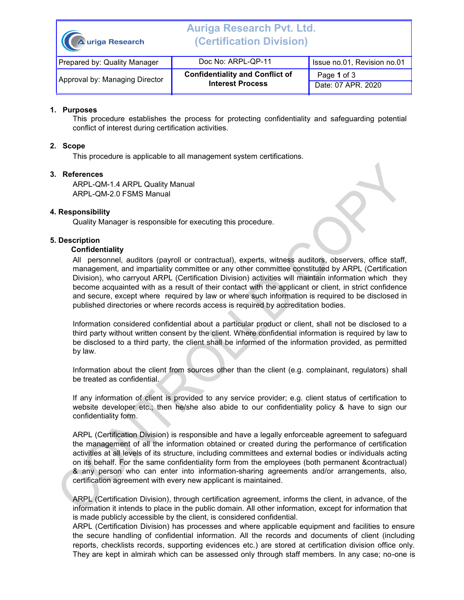| Auriga Research                | <b>Auriga Research Pvt. Ltd.</b><br>(Certification Division)      |                                   |  |
|--------------------------------|-------------------------------------------------------------------|-----------------------------------|--|
| Prepared by: Quality Manager   | Doc No: ARPL-QP-11                                                | Issue no.01, Revision no.01       |  |
| Approval by: Managing Director | <b>Confidentiality and Conflict of</b><br><b>Interest Process</b> | Page 1 of 3<br>Date: 07 APR. 2020 |  |

### **1. Purposes**

This procedure establishes the process for protecting confidentiality and safeguarding potential conflict of interest during certification activities.

#### **2. Scope**

This procedure is applicable to all management system certifications.

# **3. References**

ARPL-QM-1.4 ARPL Quality Manual ARPL-QM-2.0 FSMS Manual

# **4. Responsibility**

Quality Manager is responsible for executing this procedure.

### **5. Description**

#### **Confidentiality**

All personnel, auditors (payroll or contractual), experts, witness auditors, observers, office staff, management, and impartiality committee or any other committee constituted by ARPL (Certification Division), who carryout ARPL (Certification Division) activities will maintain information which they become acquainted with as a result of their contact with the applicant or client, in strict confidence and secure, except where required by law or where such information is required to be disclosed in published directories or where records access is required by accreditation bodies.

Information considered confidential about a particular product or client, shall not be disclosed to a third party without written consent by the client. Where confidential information is required by law to be disclosed to a third party, the client shall be informed of the information provided, as permitted by law.

Information about the client from sources other than the client (e.g. complainant, regulators) shall be treated as confidential.

If any information of client is provided to any service provider; e.g. client status of certification to website developer etc.; then he/she also abide to our confidentiality policy & have to sign our confidentiality form.

ARPL (Certification Division) is responsible and have a legally enforceable agreement to safeguard the management of all the information obtained or created during the performance of certification activities at all levels of its structure, including committees and external bodies or individuals acting on its behalf. For the same confidentiality form from the employees (both permanent &contractual) & any person who can enter into information-sharing agreements and/or arrangements, also, certification agreement with every new applicant is maintained.

ARPL (Certification Division), through certification agreement, informs the client, in advance, of the information it intends to place in the public domain. All other information, except for information that is made publicly accessible by the client, is considered confidential.

ARPL (Certification Division) has processes and where applicable equipment and facilities to ensure the secure handling of confidential information. All the records and documents of client (including reports, checklists records, supporting evidences etc.) are stored at certification division office only. They are kept in almirah which can be assessed only through staff members. In any case; no-one is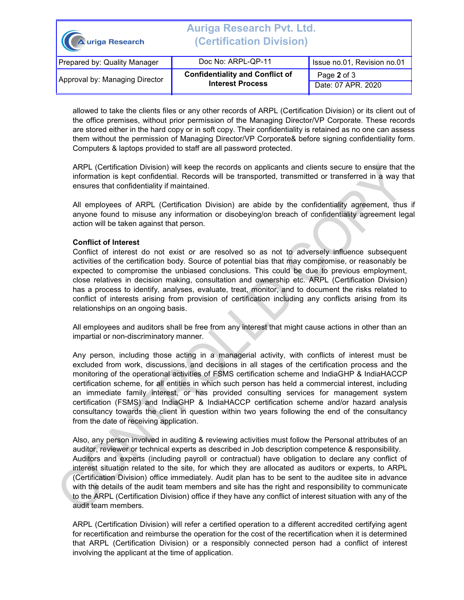| A uriga Research               | <b>Auriga Research Pvt. Ltd.</b><br><i><b>(Certification Division)</b></i> |                                   |  |
|--------------------------------|----------------------------------------------------------------------------|-----------------------------------|--|
| Prepared by: Quality Manager   | Doc No: ARPL-QP-11                                                         | Issue no.01, Revision no.01       |  |
| Approval by: Managing Director | <b>Confidentiality and Conflict of</b><br><b>Interest Process</b>          | Page 2 of 3<br>Date: 07 APR. 2020 |  |

allowed to take the clients files or any other records of ARPL (Certification Division) or its client out of the office premises, without prior permission of the Managing Director/VP Corporate. These records are stored either in the hard copy or in soft copy. Their confidentiality is retained as no one can assess them without the permission of Managing Director/VP Corporate& before signing confidentiality form. Computers & laptops provided to staff are all password protected.

ARPL (Certification Division) will keep the records on applicants and clients secure to ensure that the information is kept confidential. Records will be transported, transmitted or transferred in a way that ensures that confidentiality if maintained.

All employees of ARPL (Certification Division) are abide by the confidentiality agreement, thus if anyone found to misuse any information or disobeying/on breach of confidentiality agreement legal action will be taken against that person.

### **Conflict of Interest**

Conflict of interest do not exist or are resolved so as not to adversely influence subsequent activities of the certification body. Source of potential bias that may compromise, or reasonably be expected to compromise the unbiased conclusions. This could be due to previous employment, close relatives in decision making, consultation and ownership etc. ARPL (Certification Division) has a process to identify, analyses, evaluate, treat, monitor, and to document the risks related to conflict of interests arising from provision of certification including any conflicts arising from its relationships on an ongoing basis.

All employees and auditors shall be free from any interest that might cause actions in other than an impartial or non-discriminatory manner.

Any person, including those acting in a managerial activity, with conflicts of interest must be excluded from work, discussions, and decisions in all stages of the certification process and the monitoring of the operational activities of FSMS certification scheme and IndiaGHP & IndiaHACCP certification scheme, for all entities in which such person has held a commercial interest, including an immediate family interest, or has provided consulting services for management system certification (FSMS) and IndiaGHP & IndiaHACCP certification scheme and/or hazard analysis consultancy towards the client in question within two years following the end of the consultancy from the date of receiving application.

Also, any person involved in auditing & reviewing activities must follow the Personal attributes of an auditor, reviewer or technical experts as described in Job description competence & responsibility. Auditors and experts (including payroll or contractual) have obligation to declare any conflict of interest situation related to the site, for which they are allocated as auditors or experts, to ARPL (Certification Division) office immediately. Audit plan has to be sent to the auditee site in advance with the details of the audit team members and site has the right and responsibility to communicate to the ARPL (Certification Division) office if they have any conflict of interest situation with any of the audit team members.

ARPL (Certification Division) will refer a certified operation to a different accredited certifying agent for recertification and reimburse the operation for the cost of the recertification when it is determined that ARPL (Certification Division) or a responsibly connected person had a conflict of interest involving the applicant at the time of application.